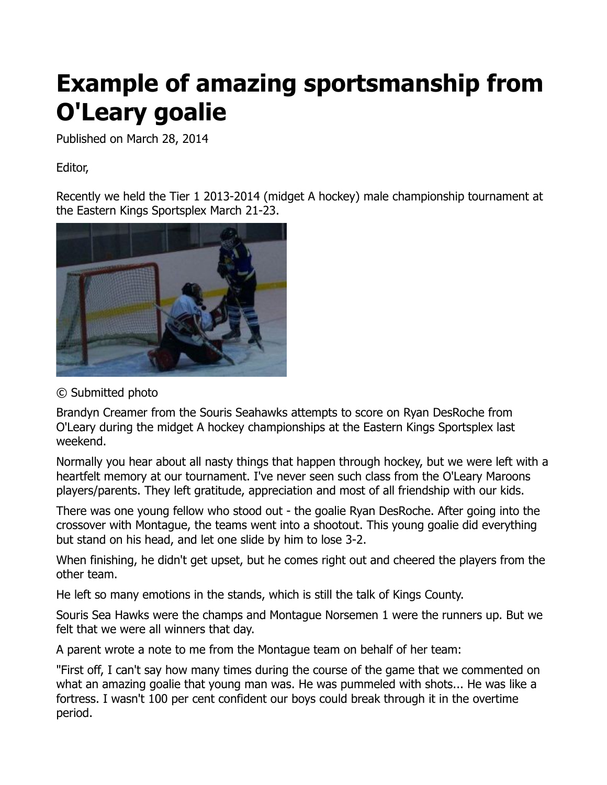## **Example of amazing sportsmanship from O'Leary goalie**

Published on March 28, 2014

Editor,

Recently we held the Tier 1 2013-2014 (midget A hockey) male championship tournament at the Eastern Kings Sportsplex March 21-23.



## © Submitted photo

Brandyn Creamer from the Souris Seahawks attempts to score on Ryan DesRoche from O'Leary during the midget A hockey championships at the Eastern Kings Sportsplex last weekend.

Normally you hear about all nasty things that happen through hockey, but we were left with a heartfelt memory at our tournament. I've never seen such class from the O'Leary Maroons players/parents. They left gratitude, appreciation and most of all friendship with our kids.

There was one young fellow who stood out - the goalie Ryan DesRoche. After going into the crossover with Montague, the teams went into a shootout. This young goalie did everything but stand on his head, and let one slide by him to lose 3-2.

When finishing, he didn't get upset, but he comes right out and cheered the players from the other team.

He left so many emotions in the stands, which is still the talk of Kings County.

Souris Sea Hawks were the champs and Montague Norsemen 1 were the runners up. But we felt that we were all winners that day.

A parent wrote a note to me from the Montague team on behalf of her team:

"First off, I can't say how many times during the course of the game that we commented on what an amazing goalie that young man was. He was pummeled with shots... He was like a fortress. I wasn't 100 per cent confident our boys could break through it in the overtime period.